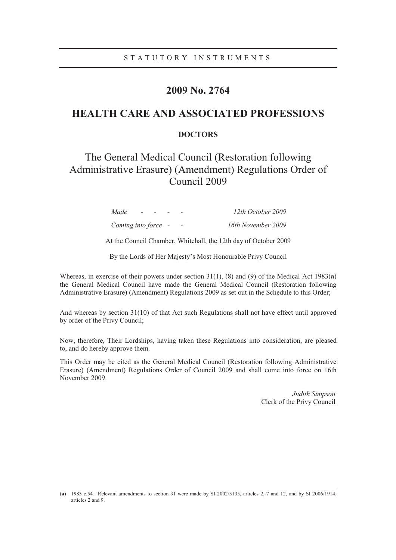## **2009 No. 2764**

## **HEALTH CARE AND ASSOCIATED PROFESSIONS**

### **DOCTORS**

# The General Medical Council (Restoration following Administrative Erasure) (Amendment) Regulations Order of Council 2009

| Made<br>$\sim$      |  | 12th October 2009  |
|---------------------|--|--------------------|
| Coming into force - |  | 16th November 2009 |

At the Council Chamber, Whitehall, the 12th day of October 2009

By the Lords of Her Majesty's Most Honourable Privy Council

Whereas, in exercise of their powers under section 31(1), (8) and (9) of the Medical Act 1983(**a**) the General Medical Council have made the General Medical Council (Restoration following Administrative Erasure) (Amendment) Regulations 2009 as set out in the Schedule to this Order;

And whereas by section 31(10) of that Act such Regulations shall not have effect until approved by order of the Privy Council;

Now, therefore, Their Lordships, having taken these Regulations into consideration, are pleased to, and do hereby approve them.

This Order may be cited as the General Medical Council (Restoration following Administrative Erasure) (Amendment) Regulations Order of Council 2009 and shall come into force on 16th November 2009.

> *Judith Simpson* Clerk of the Privy Council

 <sup>(</sup>**<sup>a</sup>**) 1983 c.54*.* Relevant amendments to section 31 were made by SI 2002/3135, articles 2, 7 and 12, and by SI 2006/1914, articles 2 and 9.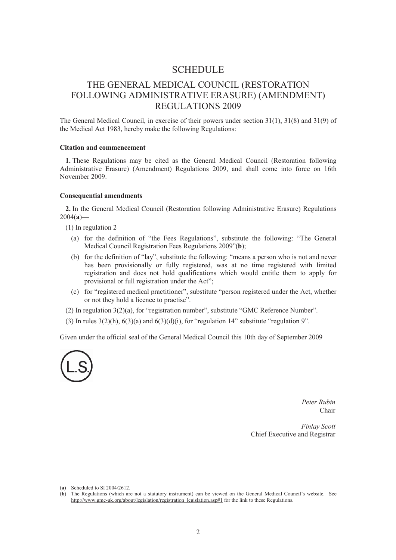### **SCHEDULE**

# THE GENERAL MEDICAL COUNCIL (RESTORATION FOLLOWING ADMINISTRATIVE ERASURE) (AMENDMENT) REGULATIONS 2009

The General Medical Council, in exercise of their powers under section 31(1), 31(8) and 31(9) of the Medical Act 1983, hereby make the following Regulations:

#### **Citation and commencement**

**1.** These Regulations may be cited as the General Medical Council (Restoration following Administrative Erasure) (Amendment) Regulations 2009, and shall come into force on 16th November 2009.

#### **Consequential amendments**

**2.** In the General Medical Council (Restoration following Administrative Erasure) Regulations 2004(**a**)—

- (1) In regulation 2—
	- (a) for the definition of "the Fees Regulations", substitute the following: "The General Medical Council Registration Fees Regulations 2009"(**b**);
	- (b) for the definition of "lay", substitute the following: "means a person who is not and never has been provisionally or fully registered, was at no time registered with limited registration and does not hold qualifications which would entitle them to apply for provisional or full registration under the Act";
	- (c) for "registered medical practitioner", substitute "person registered under the Act, whether or not they hold a licence to practise".
- (2) In regulation 3(2)(a), for "registration number", substitute "GMC Reference Number".
- (3) In rules  $3(2)(h)$ ,  $6(3)(a)$  and  $6(3)(d)(i)$ , for "regulation 14" substitute "regulation 9".

Given under the official seal of the General Medical Council this 10th day of September 2009



*Peter Rubin*  Chair

*Finlay Scott*  Chief Executive and Registrar

 <sup>(</sup>**<sup>a</sup>**) Scheduled to SI 2004/2612.

<sup>(</sup>**b**) The Regulations (which are not a statutory instrument) can be viewed on the General Medical Council's website. See http://www.gmc-uk.org/about/legislation/registration\_legislation.asp#1 for the link to these Regulations.